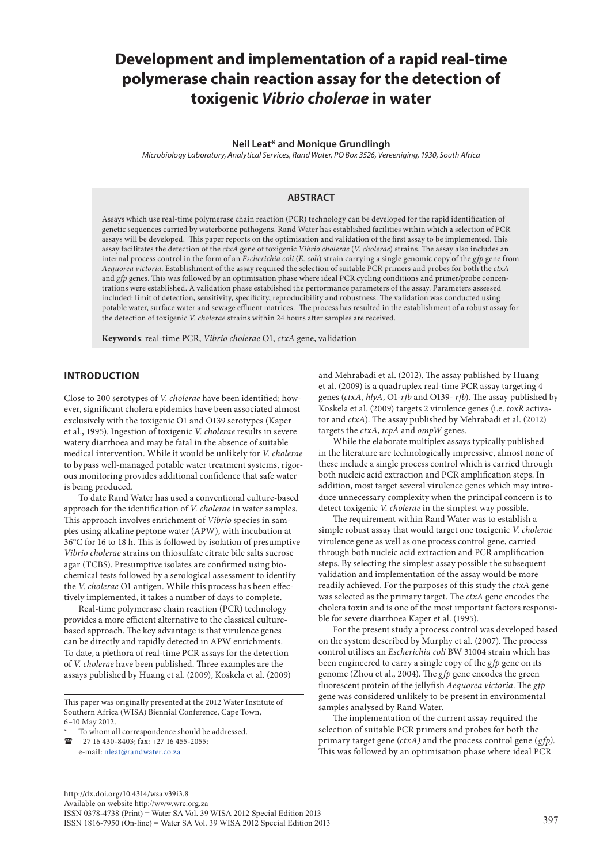# **Development and implementation of a rapid real-time polymerase chain reaction assay for the detection of toxigenic** *Vibrio cholerae* **in water**

#### **Neil Leat\* and Monique Grundlingh**

*Microbiology Laboratory, Analytical Services, Rand Water, PO Box 3526, Vereeniging, 1930, South Africa*

#### **ABSTRACT**

Assays which use real-time polymerase chain reaction (PCR) technology can be developed for the rapid identification of genetic sequences carried by waterborne pathogens. Rand Water has established facilities within which a selection of PCR assays will be developed. This paper reports on the optimisation and validation of the first assay to be implemented. This assay facilitates the detection of the *ctxA* gene of toxigenic *Vibrio cholerae* (*V. cholerae*) strains. The assay also includes an internal process control in the form of an *Escherichia coli* (*E. coli*) strain carrying a single genomic copy of the *gfp* gene from *Aequorea victoria*. Establishment of the assay required the selection of suitable PCR primers and probes for both the *ctxA* and *gfp* genes. This was followed by an optimisation phase where ideal PCR cycling conditions and primer/probe concentrations were established. A validation phase established the performance parameters of the assay. Parameters assessed included: limit of detection, sensitivity, specificity, reproducibility and robustness. The validation was conducted using potable water, surface water and sewage effluent matrices. The process has resulted in the establishment of a robust assay for the detection of toxigenic *V. cholerae* strains within 24 hours after samples are received.

**Keywords**: real-time PCR, *Vibrio cholerae* O1, *ctxA* gene, validation

#### **INTRODUCTION**

Close to 200 serotypes of *V. cholerae* have been identified; however, significant cholera epidemics have been associated almost exclusively with the toxigenic O1 and O139 serotypes (Kaper et al., 1995). Ingestion of toxigenic *V. cholerae* results in severe watery diarrhoea and may be fatal in the absence of suitable medical intervention. While it would be unlikely for *V. cholerae*  to bypass well-managed potable water treatment systems, rigorous monitoring provides additional confidence that safe water is being produced.

To date Rand Water has used a conventional culture-based approach for the identification of *V. cholerae* in water samples. This approach involves enrichment of *Vibrio* species in samples using alkaline peptone water (APW), with incubation at 36°C for 16 to 18 h. This is followed by isolation of presumptive *Vibrio cholerae* strains on thiosulfate citrate bile salts sucrose agar (TCBS). Presumptive isolates are confirmed using biochemical tests followed by a serological assessment to identify the *V. cholerae* O1 antigen. While this process has been effectively implemented, it takes a number of days to complete.

Real-time polymerase chain reaction (PCR) technology provides a more efficient alternative to the classical culturebased approach. The key advantage is that virulence genes can be directly and rapidly detected in APW enrichments. To date, a plethora of real-time PCR assays for the detection of *V. cholerae* have been published. Three examples are the assays published by Huang et al. (2009), Koskela et al. (2009)

This paper was originally presented at the 2012 Water Institute of Southern Africa (WISA) Biennial Conference, Cape Town, 6–10 May 2012.

To whom all correspondence should be addressed.

 $\bullet$  +27 16 430-8403; fax: +27 16 455-2055; e-mail: [nleat@randwater.co.za](mailto:nleat@randwater.co.za) 

and Mehrabadi et al. (2012). The assay published by Huang et al. (2009) is a quadruplex real-time PCR assay targeting 4 genes (*ctxA*, *hlyA*, O1-*rfb* and O139- *rfb*). The assay published by Koskela et al. (2009) targets 2 virulence genes (i.e. *toxR* activator and *ctxA*). The assay published by Mehrabadi et al. (2012) targets the *ctxA*, *tcpA* and *ompW* genes.

While the elaborate multiplex assays typically published in the literature are technologically impressive, almost none of these include a single process control which is carried through both nucleic acid extraction and PCR amplification steps. In addition, most target several virulence genes which may introduce unnecessary complexity when the principal concern is to detect toxigenic *V. cholerae* in the simplest way possible.

The requirement within Rand Water was to establish a simple robust assay that would target one toxigenic *V. cholerae* virulence gene as well as one process control gene, carried through both nucleic acid extraction and PCR amplification steps. By selecting the simplest assay possible the subsequent validation and implementation of the assay would be more readily achieved. For the purposes of this study the *ctxA* gene was selected as the primary target. The *ctxA* gene encodes the cholera toxin and is one of the most important factors responsible for severe diarrhoea Kaper et al. (1995).

For the present study a process control was developed based on the system described by Murphy et al. (2007). The process control utilises an *Escherichia coli* BW 31004 strain which has been engineered to carry a single copy of the *gfp* gene on its genome (Zhou et al., 2004). The *gfp* gene encodes the green fluorescent protein of the jellyfish *Aequorea victoria*. The *gfp* gene was considered unlikely to be present in environmental samples analysed by Rand Water.

The implementation of the current assay required the selection of suitable PCR primers and probes for both the primary target gene (*ctxA)* and the process control gene (*gfp)*. This was followed by an optimisation phase where ideal PCR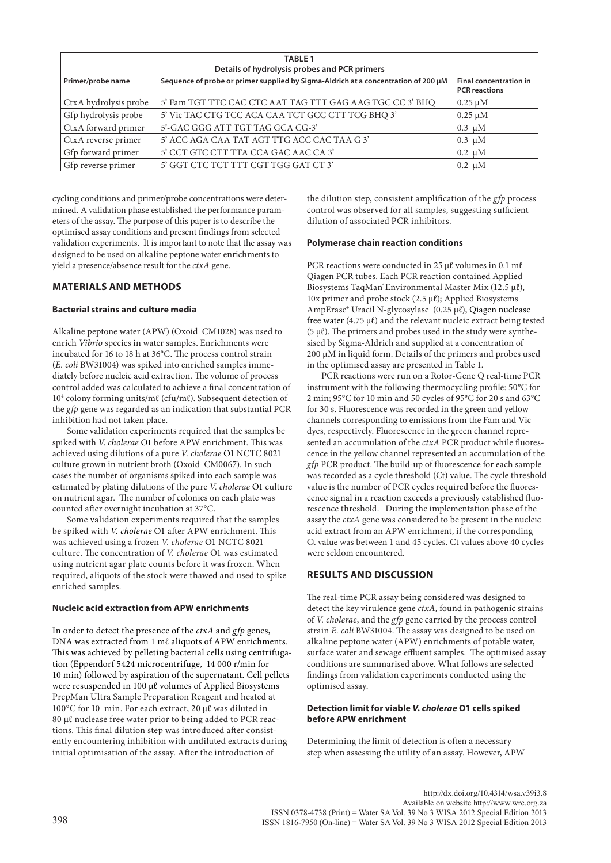| <b>TABLE 1</b><br>Details of hydrolysis probes and PCR primers |                                                                                    |                                                       |  |  |  |  |  |
|----------------------------------------------------------------|------------------------------------------------------------------------------------|-------------------------------------------------------|--|--|--|--|--|
| Primer/probe name                                              | Sequence of probe or primer supplied by Sigma-Aldrich at a concentration of 200 µM | <b>Final concentration in</b><br><b>PCR</b> reactions |  |  |  |  |  |
| CtxA hydrolysis probe                                          | 5' Fam TGT TTC CAC CTC AAT TAG TTT GAG AAG TGC CC 3' BHQ                           | $0.25 \mu M$                                          |  |  |  |  |  |
| Gfp hydrolysis probe                                           | 5' Vic TAC CTG TCC ACA CAA TCT GCC CTT TCG BHQ 3'                                  | $0.25 \mu M$                                          |  |  |  |  |  |
| CtxA forward primer                                            | 5'-GAC GGG ATT TGT TAG GCA CG-3'                                                   | $0.3 \mu M$                                           |  |  |  |  |  |
| CtxA reverse primer                                            | 5' ACC AGA CAA TAT AGT TTG ACC CAC TAA G 3'                                        | $0.3 \mu M$                                           |  |  |  |  |  |
| Gfp forward primer                                             | 5' CCT GTC CTT TTA CCA GAC AAC CA 3'                                               | $0.2 \mu M$                                           |  |  |  |  |  |
| Gfp reverse primer                                             | 5' GGT CTC TCT TTT CGT TGG GAT CT 3'                                               | $0.2 \mu M$                                           |  |  |  |  |  |

cycling conditions and primer/probe concentrations were determined. A validation phase established the performance parameters of the assay. The purpose of this paper is to describe the optimised assay conditions and present findings from selected validation experiments. It is important to note that the assay was designed to be used on alkaline peptone water enrichments to yield a presence/absence result for the *ctxA* gene.

## **MATERIALS AND METHODS**

#### **Bacterial strains and culture media**

Alkaline peptone water (APW) (Oxoid CM1028) was used to enrich *Vibrio* species in water samples. Enrichments were incubated for 16 to 18 h at 36°C. The process control strain (*E. coli* BW31004) was spiked into enriched samples immediately before nucleic acid extraction. The volume of process control added was calculated to achieve a final concentration of 104 colony forming units/mℓ (cfu/mℓ). Subsequent detection of the *gfp* gene was regarded as an indication that substantial PCR inhibition had not taken place.

Some validation experiments required that the samples be spiked with *V. cholerae* O1 before APW enrichment. This was achieved using dilutions of a pure *V. cholerae* O1 NCTC 8021 culture grown in nutrient broth (Oxoid CM0067). In such cases the number of organisms spiked into each sample was estimated by plating dilutions of the pure *V. cholerae* O1 culture on nutrient agar. The number of colonies on each plate was counted after overnight incubation at 37°C.

Some validation experiments required that the samples be spiked with *V. cholerae* O1 after APW enrichment. This was achieved using a frozen *V. cholerae* O1 NCTC 8021 culture. The concentration of *V. cholerae* O1 was estimated using nutrient agar plate counts before it was frozen. When required, aliquots of the stock were thawed and used to spike enriched samples.

#### **Nucleic acid extraction from APW enrichments**

In order to detect the presence of the *ctxA* and *gfp* genes, DNA was extracted from 1 ml aliquots of APW enrichments. This was achieved by pelleting bacterial cells using centrifugation (Eppendorf 5424 microcentrifuge, 14 000 r/min for 10 min) followed by aspiration of the supernatant. Cell pellets were resuspended in 100 µℓ volumes of Applied Biosystems PrepMan Ultra Sample Preparation Reagent and heated at 100°C for 10 min. For each extract, 20 µℓ was diluted in 80 µℓ nuclease free water prior to being added to PCR reactions. This final dilution step was introduced after consistently encountering inhibition with undiluted extracts during initial optimisation of the assay. After the introduction of

the dilution step, consistent amplification of the *gfp* process control was observed for all samples, suggesting sufficient dilution of associated PCR inhibitors.

#### **Polymerase chain reaction conditions**

PCR reactions were conducted in 25 µℓ volumes in 0.1 mℓ Qiagen PCR tubes. Each PCR reaction contained Applied Biosystems TaqMan® Environmental Master Mix (12.5 µℓ), 10x primer and probe stock (2.5 μℓ); Applied Biosystems AmpErase® Uracil N-glycosylase (0.25 µℓ), Qiagen nuclease free water (4.75 μℓ) and the relevant nucleic extract being tested  $(5 \mu \ell)$ . The primers and probes used in the study were synthesised by Sigma-Aldrich and supplied at a concentration of 200 µM in liquid form. Details of the primers and probes used in the optimised assay are presented in Table 1.

PCR reactions were run on a Rotor-Gene Q real-time PCR instrument with the following thermocycling profile: 50°C for 2 min; 95°C for 10 min and 50 cycles of 95°C for 20 s and 63°C for 30 s. Fluorescence was recorded in the green and yellow channels corresponding to emissions from the Fam and Vic dyes, respectively. Fluorescence in the green channel represented an accumulation of the *ctxA* PCR product while fluorescence in the yellow channel represented an accumulation of the *gfp* PCR product. The build-up of fluorescence for each sample was recorded as a cycle threshold (Ct) value. The cycle threshold value is the number of PCR cycles required before the fluorescence signal in a reaction exceeds a previously established fluorescence threshold. During the implementation phase of the assay the *ctxA* gene was considered to be present in the nucleic acid extract from an APW enrichment, if the corresponding Ct value was between 1 and 45 cycles. Ct values above 40 cycles were seldom encountered.

#### **RESULTS AND DISCUSSION**

The real-time PCR assay being considered was designed to detect the key virulence gene *ctxA,* found in pathogenic strains of *V. cholerae*, and the *gfp* gene carried by the process control strain *E. coli* BW31004. The assay was designed to be used on alkaline peptone water (APW) enrichments of potable water, surface water and sewage effluent samples. The optimised assay conditions are summarised above. What follows are selected findings from validation experiments conducted using the optimised assay.

#### **Detection limit for viable** *V. cholerae* **O1 cells spiked before APW enrichment**

Determining the limit of detection is often a necessary step when assessing the utility of an assay. However, APW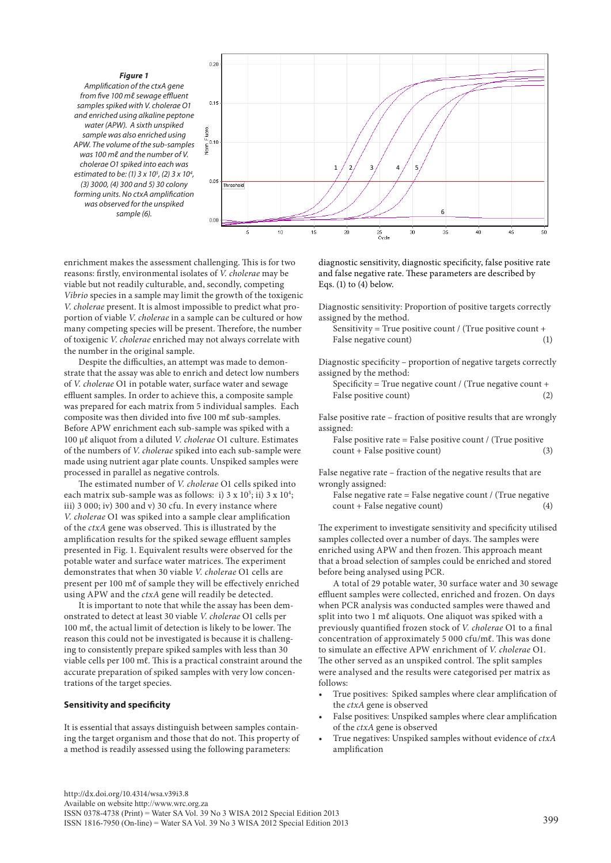



enrichment makes the assessment challenging. This is for two reasons: firstly, environmental isolates of *V. cholerae* may be viable but not readily culturable, and, secondly, competing *Vibrio* species in a sample may limit the growth of the toxigenic *V. cholerae* present. It is almost impossible to predict what proportion of viable *V. cholerae* in a sample can be cultured or how many competing species will be present. Therefore, the number of toxigenic *V. cholerae* enriched may not always correlate with the number in the original sample.

Despite the difficulties, an attempt was made to demonstrate that the assay was able to enrich and detect low numbers of *V. cholerae* O1 in potable water, surface water and sewage effluent samples. In order to achieve this, a composite sample was prepared for each matrix from 5 individual samples. Each composite was then divided into five 100 mℓ sub-samples. Before APW enrichment each sub-sample was spiked with a 100 µℓ aliquot from a diluted *V. cholerae* O1 culture. Estimates of the numbers of *V. cholerae* spiked into each sub-sample were made using nutrient agar plate counts. Unspiked samples were processed in parallel as negative controls.

The estimated number of *V. cholerae* O1 cells spiked into each matrix sub-sample was as follows: i) 3 x 10<sup>5</sup>; ii) 3 x 10<sup>4</sup>; iii) 3 000; iv) 300 and v) 30 cfu. In every instance where *V. cholerae* O1 was spiked into a sample clear amplification of the *ctxA* gene was observed. This is illustrated by the amplification results for the spiked sewage effluent samples presented in Fig. 1. Equivalent results were observed for the potable water and surface water matrices. The experiment demonstrates that when 30 viable *V. cholerae* O1 cells are present per 100 mℓ of sample they will be effectively enriched using APW and the *ctxA* gene will readily be detected.

It is important to note that while the assay has been demonstrated to detect at least 30 viable *V. cholerae* O1 cells per 100 mℓ, the actual limit of detection is likely to be lower. The reason this could not be investigated is because it is challenging to consistently prepare spiked samples with less than 30 viable cells per 100 mℓ. This is a practical constraint around the accurate preparation of spiked samples with very low concentrations of the target species.

#### **Sensitivity and specificity**

It is essential that assays distinguish between samples containing the target organism and those that do not. This property of a method is readily assessed using the following parameters:

diagnostic sensitivity, diagnostic specificity, false positive rate and false negative rate. These parameters are described by Eqs. (1) to (4) below.

Diagnostic sensitivity: Proportion of positive targets correctly assigned by the method.

Sensitivity = True positive count / (True positive count + False negative count) (1)

Diagnostic specificity – proportion of negative targets correctly assigned by the method:

Specificity = True negative count / (True negative count + False positive count) (2)

False positive rate – fraction of positive results that are wrongly assigned:

False positive rate = False positive count / (True positive count + False positive count) (3)

False negative rate – fraction of the negative results that are wrongly assigned:

False negative rate = False negative count / (True negative count + False negative count) (4)

The experiment to investigate sensitivity and specificity utilised samples collected over a number of days. The samples were enriched using APW and then frozen. This approach meant that a broad selection of samples could be enriched and stored before being analysed using PCR.

A total of 29 potable water, 30 surface water and 30 sewage effluent samples were collected, enriched and frozen. On days when PCR analysis was conducted samples were thawed and split into two 1 ml aliquots. One aliquot was spiked with a previously quantified frozen stock of *V. cholerae* O1 to a final concentration of approximately 5 000 cfu/mℓ. This was done to simulate an effective APW enrichment of *V. cholerae* O1. The other served as an unspiked control. The split samples were analysed and the results were categorised per matrix as follows:

- True positives: Spiked samples where clear amplification of the *ctxA* gene is observed
- False positives: Unspiked samples where clear amplification of the *ctxA* gene is observed
- True negatives: Unspiked samples without evidence of *ctxA* amplification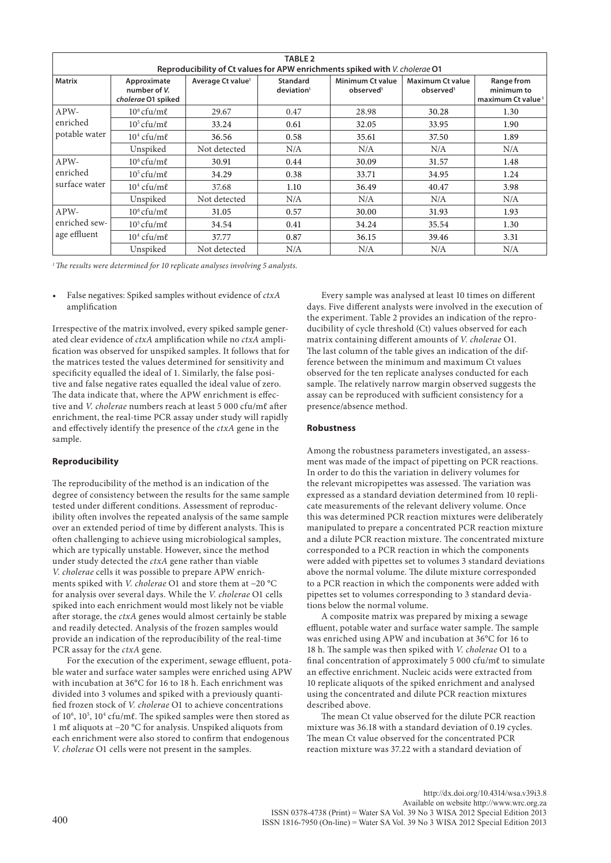| <b>TABLE 2</b><br>Reproducibility of Ct values for APW enrichments spiked with V. cholerae 01 |                                                   |                               |                                           |                                                  |                                                  |                                                           |  |  |
|-----------------------------------------------------------------------------------------------|---------------------------------------------------|-------------------------------|-------------------------------------------|--------------------------------------------------|--------------------------------------------------|-----------------------------------------------------------|--|--|
| <b>Matrix</b>                                                                                 | Approximate<br>number of V.<br>cholerae O1 spiked | Average Ct value <sup>1</sup> | <b>Standard</b><br>deviation <sup>1</sup> | <b>Minimum Ct value</b><br>observed <sup>1</sup> | <b>Maximum Ct value</b><br>observed <sup>1</sup> | Range from<br>minimum to<br>maximum Ct value <sup>1</sup> |  |  |
| APW-<br>enriched<br>potable water                                                             | $10^6$ cfu/m $\ell$                               | 29.67                         | 0.47                                      | 28.98                                            | 30.28                                            | 1.30                                                      |  |  |
|                                                                                               | $10^5$ cfu/m $\ell$                               | 33.24                         | 0.61                                      | 32.05                                            | 33.95                                            | 1.90                                                      |  |  |
|                                                                                               | $104$ cfu/m $\ell$                                | 36.56                         | 0.58                                      | 35.61                                            | 37.50                                            | 1.89                                                      |  |  |
|                                                                                               | Unspiked                                          | Not detected                  | N/A                                       | N/A                                              | N/A                                              | N/A                                                       |  |  |
| APW-<br>enriched<br>surface water                                                             | $10^6$ cfu/m $\ell$                               | 30.91                         | 0.44                                      | 30.09                                            | 31.57                                            | 1.48                                                      |  |  |
|                                                                                               | $10^5$ cfu/m $\ell$                               | 34.29                         | 0.38                                      | 33.71                                            | 34.95                                            | 1.24                                                      |  |  |
|                                                                                               | $104$ cfu/m $\ell$                                | 37.68                         | 1.10                                      | 36.49                                            | 40.47                                            | 3.98                                                      |  |  |
|                                                                                               | Unspiked                                          | Not detected                  | N/A                                       | N/A                                              | N/A                                              | N/A                                                       |  |  |
| APW-<br>enriched sew-<br>age effluent                                                         | $10^6$ cfu/m $\ell$                               | 31.05                         | 0.57                                      | 30.00                                            | 31.93                                            | 1.93                                                      |  |  |
|                                                                                               | $10^5$ cfu/m $\ell$                               | 34.54                         | 0.41                                      | 34.24                                            | 35.54                                            | 1.30                                                      |  |  |
|                                                                                               | $104$ cfu/m $\ell$                                | 37.77                         | 0.87                                      | 36.15                                            | 39.46                                            | 3.31                                                      |  |  |
|                                                                                               | Unspiked                                          | Not detected                  | N/A                                       | N/A                                              | N/A                                              | N/A                                                       |  |  |

*1 The results were determined for 10 replicate analyses involving 5 analysts.*

False negatives: Spiked samples without evidence of *ctxA* amplification

Irrespective of the matrix involved, every spiked sample generated clear evidence of *ctxA* amplification while no *ctxA* amplification was observed for unspiked samples. It follows that for the matrices tested the values determined for sensitivity and specificity equalled the ideal of 1. Similarly, the false positive and false negative rates equalled the ideal value of zero. The data indicate that, where the APW enrichment is effective and *V. cholerae* numbers reach at least 5 000 cfu/mℓ after enrichment, the real-time PCR assay under study will rapidly and effectively identify the presence of the *ctxA* gene in the sample.

## **Reproducibility**

The reproducibility of the method is an indication of the degree of consistency between the results for the same sample tested under different conditions. Assessment of reproducibility often involves the repeated analysis of the same sample over an extended period of time by different analysts. This is often challenging to achieve using microbiological samples, which are typically unstable. However, since the method under study detected the *ctxA* gene rather than viable *V. cholerae* cells it was possible to prepare APW enrichments spiked with *V. cholerae* O1 and store them at −20 °C for analysis over several days. While the *V. cholerae* O1 cells spiked into each enrichment would most likely not be viable after storage, the *ctxA* genes would almost certainly be stable and readily detected. Analysis of the frozen samples would provide an indication of the reproducibility of the real-time PCR assay for the *ctxA* gene.

For the execution of the experiment, sewage effluent, potable water and surface water samples were enriched using APW with incubation at 36°C for 16 to 18 h. Each enrichment was divided into 3 volumes and spiked with a previously quantified frozen stock of *V. cholerae* O1 to achieve concentrations of 10<sup>6</sup>, 10<sup>5</sup>, 10<sup>4</sup> cfu/mℓ. The spiked samples were then stored as 1 mℓ aliquots at −20 °C for analysis. Unspiked aliquots from each enrichment were also stored to confirm that endogenous *V. cholerae* O1 cells were not present in the samples.

Every sample was analysed at least 10 times on different days. Five different analysts were involved in the execution of the experiment. Table 2 provides an indication of the reproducibility of cycle threshold (Ct) values observed for each matrix containing different amounts of *V. cholerae* O1. The last column of the table gives an indication of the difference between the minimum and maximum Ct values observed for the ten replicate analyses conducted for each sample. The relatively narrow margin observed suggests the assay can be reproduced with sufficient consistency for a presence/absence method.

#### **Robustness**

Among the robustness parameters investigated, an assessment was made of the impact of pipetting on PCR reactions. In order to do this the variation in delivery volumes for the relevant micropipettes was assessed. The variation was expressed as a standard deviation determined from 10 replicate measurements of the relevant delivery volume. Once this was determined PCR reaction mixtures were deliberately manipulated to prepare a concentrated PCR reaction mixture and a dilute PCR reaction mixture. The concentrated mixture corresponded to a PCR reaction in which the components were added with pipettes set to volumes 3 standard deviations above the normal volume. The dilute mixture corresponded to a PCR reaction in which the components were added with pipettes set to volumes corresponding to 3 standard deviations below the normal volume.

A composite matrix was prepared by mixing a sewage effluent, potable water and surface water sample. The sample was enriched using APW and incubation at 36°C for 16 to 18 h. The sample was then spiked with *V. cholerae* O1 to a final concentration of approximately 5 000 cfu/mℓ to simulate an effective enrichment. Nucleic acids were extracted from 10 replicate aliquots of the spiked enrichment and analysed using the concentrated and dilute PCR reaction mixtures described above.

The mean Ct value observed for the dilute PCR reaction mixture was 36.18 with a standard deviation of 0.19 cycles. The mean Ct value observed for the concentrated PCR reaction mixture was 37.22 with a standard deviation of